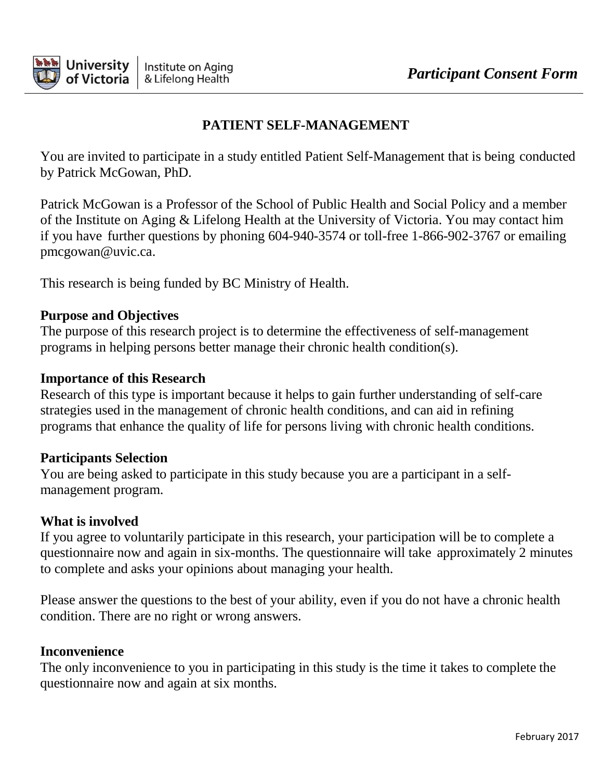

## **PATIENT SELF-MANAGEMENT**

You are invited to participate in a study entitled Patient Self-Management that is being conducted by Patrick McGowan, PhD.

Patrick McGowan is a Professor of the School of Public Health and Social Policy and a member of the Institute on Aging & Lifelong Health at the University of Victoria. You may contact him if you have further questions by phoning 604-940-3574 or toll-free 1-866-902-3767 or emailin[g](mailto:pmcgowan@uvic.ca) [pmcgowan@uvic.ca.](mailto:pmcgowan@uvic.ca)

This research is being funded by BC Ministry of Health.

#### **Purpose and Objectives**

The purpose of this research project is to determine the effectiveness of self-management programs in helping persons better manage their chronic health condition(s).

#### **Importance of this Research**

Research of this type is important because it helps to gain further understanding of self-care strategies used in the management of chronic health conditions, and can aid in refining programs that enhance the quality of life for persons living with chronic health conditions.

#### **Participants Selection**

You are being asked to participate in this study because you are a participant in a selfmanagement program.

## **What is involved**

If you agree to voluntarily participate in this research, your participation will be to complete a questionnaire now and again in six-months. The questionnaire will take approximately 2 minutes to complete and asks your opinions about managing your health.

Please answer the questions to the best of your ability, even if you do not have a chronic health condition. There are no right or wrong answers.

#### **Inconvenience**

The only inconvenience to you in participating in this study is the time it takes to complete the questionnaire now and again at six months.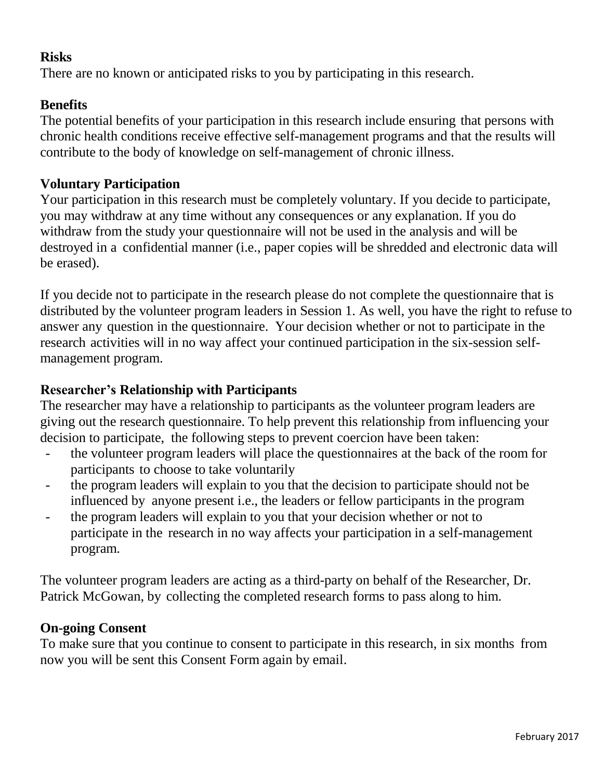## **Risks**

There are no known or anticipated risks to you by participating in this research.

## **Benefits**

The potential benefits of your participation in this research include ensuring that persons with chronic health conditions receive effective self-management programs and that the results will contribute to the body of knowledge on self-management of chronic illness.

#### **Voluntary Participation**

Your participation in this research must be completely voluntary. If you decide to participate, you may withdraw at any time without any consequences or any explanation. If you do withdraw from the study your questionnaire will not be used in the analysis and will be destroyed in a confidential manner (i.e., paper copies will be shredded and electronic data will be erased).

If you decide not to participate in the research please do not complete the questionnaire that is distributed by the volunteer program leaders in Session 1. As well, you have the right to refuse to answer any question in the questionnaire. Your decision whether or not to participate in the research activities will in no way affect your continued participation in the six-session selfmanagement program.

## **Researcher's Relationship with Participants**

The researcher may have a relationship to participants as the volunteer program leaders are giving out the research questionnaire. To help prevent this relationship from influencing your decision to participate, the following steps to prevent coercion have been taken:

- the volunteer program leaders will place the questionnaires at the back of the room for participants to choose to take voluntarily
- the program leaders will explain to you that the decision to participate should not be influenced by anyone present i.e., the leaders or fellow participants in the program
- the program leaders will explain to you that your decision whether or not to participate in the research in no way affects your participation in a self-management program.

The volunteer program leaders are acting as a third-party on behalf of the Researcher, Dr. Patrick McGowan, by collecting the completed research forms to pass along to him.

#### **On-going Consent**

To make sure that you continue to consent to participate in this research, in six months from now you will be sent this Consent Form again by email.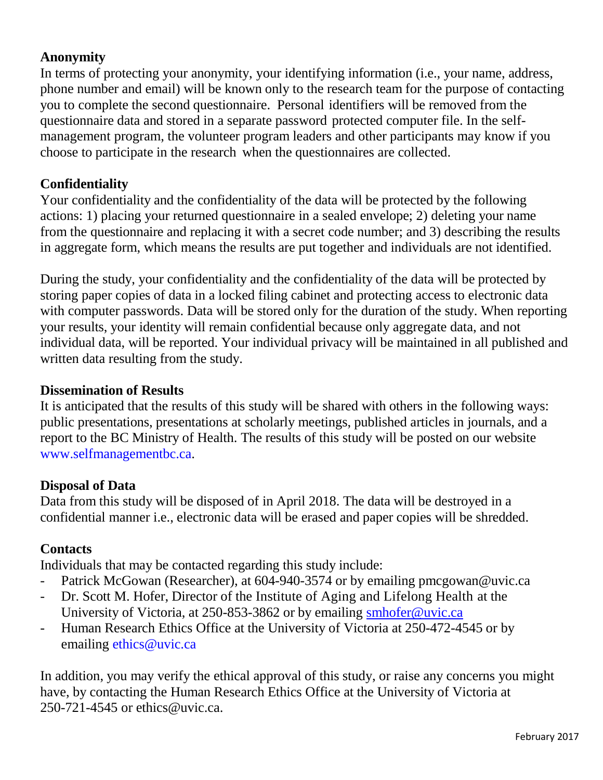## **Anonymity**

In terms of protecting your anonymity, your identifying information (i.e., your name, address, phone number and email) will be known only to the research team for the purpose of contacting you to complete the second questionnaire. Personal identifiers will be removed from the questionnaire data and stored in a separate password protected computer file. In the selfmanagement program, the volunteer program leaders and other participants may know if you choose to participate in the research when the questionnaires are collected.

## **Confidentiality**

Your confidentiality and the confidentiality of the data will be protected by the following actions: 1) placing your returned questionnaire in a sealed envelope; 2) deleting your name from the questionnaire and replacing it with a secret code number; and 3) describing the results in aggregate form, which means the results are put together and individuals are not identified.

During the study, your confidentiality and the confidentiality of the data will be protected by storing paper copies of data in a locked filing cabinet and protecting access to electronic data with computer passwords. Data will be stored only for the duration of the study. When reporting your results, your identity will remain confidential because only aggregate data, and not individual data, will be reported. Your individual privacy will be maintained in all published and written data resulting from the study.

#### **Dissemination of Results**

It is anticipated that the results of this study will be shared with others in the following ways: public presentations, presentations at scholarly meetings, published articles in journals, and a report to the BC Ministry of Health. The results of this study will be posted on our website [www.selfmanagementbc.ca.](http://www.selfmanagementbc.ca/)

#### **Disposal of Data**

Data from this study will be disposed of in April 2018. The data will be destroyed in a confidential manner i.e., electronic data will be erased and paper copies will be shredded.

#### **Contacts**

Individuals that may be contacted regarding this study include:

- Patrick McGowan (Researcher), at 604-940-3574 or by emailing [pmcgowan@uvic.ca](mailto:pmcgowan@uvic.ca)
- Dr. Scott M. Hofer, Director of the Institute of Aging and Lifelong Health at the University of Victoria, at 250-853-3862 or by emailing [smhofer@uvic.ca](mailto:smhofer@uvic.ca)
- Human Research Ethics Office at the University of Victoria at 250-472-4545 or by emailing [ethics@uvic.ca](mailto:ethics@uvic.ca)

In addition, you may verify the ethical approval of this study, or raise any concerns you might have, by contacting the Human Research Ethics Office at the University of Victoria at 250-721-4545 [or ethics@uvic.ca.](mailto:ethics@uvic.ca)